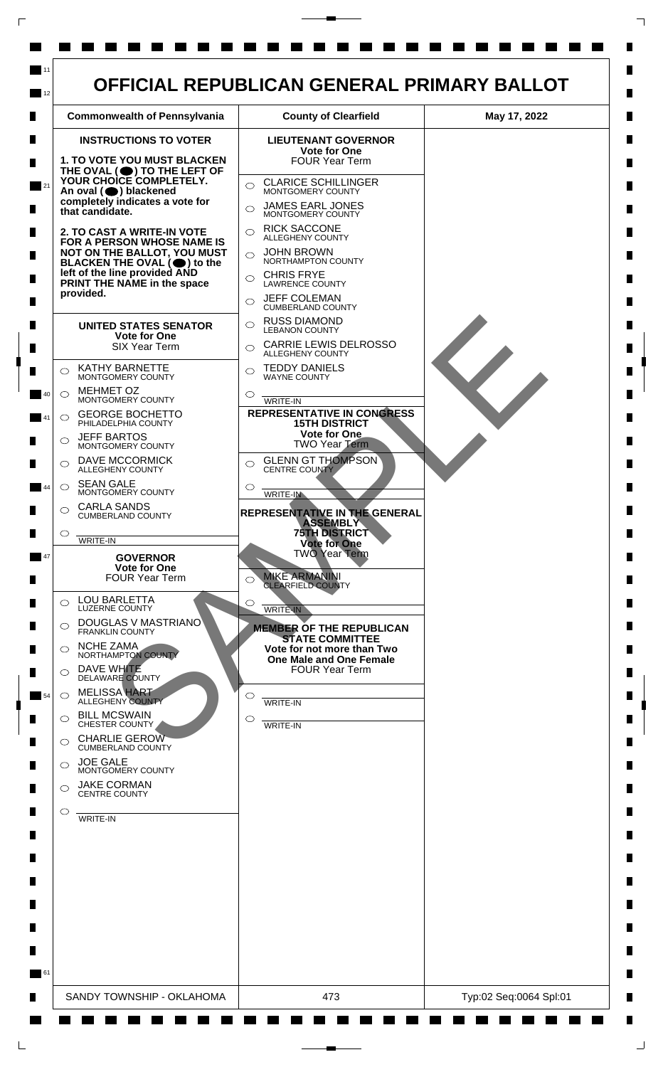

 $\mathsf{L}$ 

 $\Box$